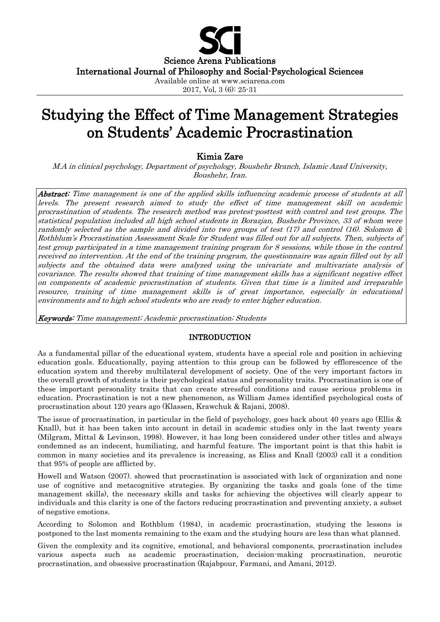

2017, Vol, 3 (6): 25-31

# Studying the Effect of Time Management Strategies on Students' Academic Procrastination

## Kimia Zare

M.A in clinical psychology, Department of psychology, Boushehr Branch, Islamic Azad University, Boushehr, Iran.

Abstract: Time management is one of the applied skills influencing academic process of students at all levels. The present research aimed to study the effect of time management skill on academic procrastination of students. The research method was pretest-posttest with control and test groups. The statistical population included all high school students in Borazjan, Bushehr Province, 33 of whom were randomly selected as the sample and divided into two groups of test  $(17)$  and control  $(16)$ . Solomon & Rothblum's Procrastination Assessment Scale for Student was filled out for all subjects. Then, subjects of test group participated in a time management training program for 8 sessions, while those in the control received no intervention. At the end of the training program, the questionnaire was again filled out by all subjects and the obtained data were analyzed using the univariate and multivariate analysis of covariance. The results showed that training of time management skills has a significant negative effect on components of academic procrastination of students. Given that time is a limited and irreparable resource, training of time management skills is of great importance, especially in educational environments and to high school students who are ready to enter higher education.

Keywords: Time management; Academic procrastination; Students

## INTRODUCTION

As a fundamental pillar of the educational system, students have a special role and position in achieving education goals. Educationally, paying attention to this group can be followed by efflorescence of the education system and thereby multilateral development of society. One of the very important factors in the overall growth of students is their psychological status and personality traits. Procrastination is one of these important personality traits that can create stressful conditions and cause serious problems in education. Procrastination is not a new phenomenon, as William James identified psychological costs of procrastination about 120 years ago (Klassen, Krawchuk & Rajani, 2008).

The issue of procrastination, in particular in the field of psychology, goes back about 40 years ago (Ellis & Knall), but it has been taken into account in detail in academic studies only in the last twenty years (Milgram, Mittal & Levinson, 1998). However, it has long been considered under other titles and always condemned as an indecent, humiliating, and harmful feature. The important point is that this habit is common in many societies and its prevalence is increasing, as Eliss and Knall (2003) call it a condition that 95% of people are afflicted by.

Howell and Watson (2007). showed that procrastination is associated with lack of organization and none use of cognitive and metacognitive strategies. By organizing the tasks and goals (one of the time management skills), the necessary skills and tasks for achieving the objectives will clearly appear to individuals and this clarity is one of the factors reducing procrastination and preventing anxiety, a subset of negative emotions.

According to Solomon and Rothblum (1984), in academic procrastination, studying the lessons is postponed to the last moments remaining to the exam and the studying hours are less than what planned.

Given the complexity and its cognitive, emotional, and behavioral components, procrastination includes various aspects such as academic procrastination, decision-making procrastination, neurotic procrastination, and obsessive procrastination (Rajabpour, Farmani, and Amani, 2012).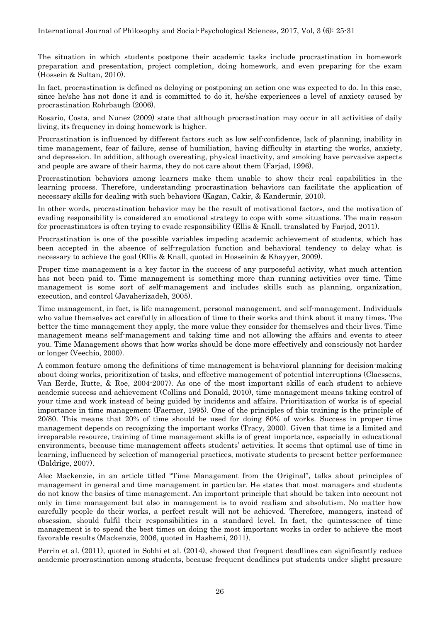The situation in which students postpone their academic tasks include procrastination in homework preparation and presentation, project completion, doing homework, and even preparing for the exam (Hossein & Sultan, 2010).

In fact, procrastination is defined as delaying or postponing an action one was expected to do. In this case, since he/she has not done it and is committed to do it, he/she experiences a level of anxiety caused by procrastination Rohrbaugh (2006).

Rosario, Costa, and Nunez (2009) state that although procrastination may occur in all activities of daily living, its frequency in doing homework is higher.

Procrastination is influenced by different factors such as low self-confidence, lack of planning, inability in time management, fear of failure, sense of humiliation, having difficulty in starting the works, anxiety, and depression. In addition, although overeating, physical inactivity, and smoking have pervasive aspects and people are aware of their harms, they do not care about them (Farjad, 1996).

Procrastination behaviors among learners make them unable to show their real capabilities in the learning process. Therefore, understanding procrastination behaviors can facilitate the application of necessary skills for dealing with such behaviors (Kagan, Cakir, & Kandermir, 2010).

In other words, procrastination behavior may be the result of motivational factors, and the motivation of evading responsibility is considered an emotional strategy to cope with some situations. The main reason for procrastinators is often trying to evade responsibility (Ellis & Knall, translated by Farjad, 2011).

Procrastination is one of the possible variables impeding academic achievement of students, which has been accepted in the absence of self-regulation function and behavioral tendency to delay what is necessary to achieve the goal (Ellis & Knall, quoted in Hosseinin & Khayyer, 2009).

Proper time management is a key factor in the success of any purposeful activity, what much attention has not been paid to. Time management is something more than running activities over time. Time management is some sort of self-management and includes skills such as planning, organization, execution, and control (Javaherizadeh, 2005).

Time management, in fact, is life management, personal management, and self-management. Individuals who value themselves act carefully in allocation of time to their works and think about it many times. The better the time management they apply, the more value they consider for themselves and their lives. Time management means self-management and taking time and not allowing the affairs and events to steer you. Time Management shows that how works should be done more effectively and consciously not harder or longer (Veechio, 2000).

A common feature among the definitions of time management is behavioral planning for decision-making about doing works, prioritization of tasks, and effective management of potential interruptions (Claessens, Van Eerde, Rutte, & Roe, 2004-2007). As one of the most important skills of each student to achieve academic success and achievement (Collins and Donald, 2010), time management means taking control of your time and work instead of being guided by incidents and affairs. Prioritization of works is of special importance in time management (Faerner, 1995). One of the principles of this training is the principle of 20/80. This means that 20% of time should be used for doing 80% of works. Success in proper time management depends on recognizing the important works (Tracy, 2000). Given that time is a limited and irreparable resource, training of time management skills is of great importance, especially in educational environments, because time management affects students' activities. It seems that optimal use of time in learning, influenced by selection of managerial practices, motivate students to present better performance (Baldrige, 2007).

Alec Mackenzie, in an article titled "Time Management from the Original", talks about principles of management in general and time management in particular. He states that most managers and students do not know the basics of time management. An important principle that should be taken into account not only in time management but also in management is to avoid realism and absolutism. No matter how carefully people do their works, a perfect result will not be achieved. Therefore, managers, instead of obsession, should fulfil their responsibilities in a standard level. In fact, the quintessence of time management is to spend the best times on doing the most important works in order to achieve the most favorable results (Mackenzie, 2006, quoted in Hashemi, 2011).

Perrin et al. (2011), quoted in Sobhi et al. (2014), showed that frequent deadlines can significantly reduce academic procrastination among students, because frequent deadlines put students under slight pressure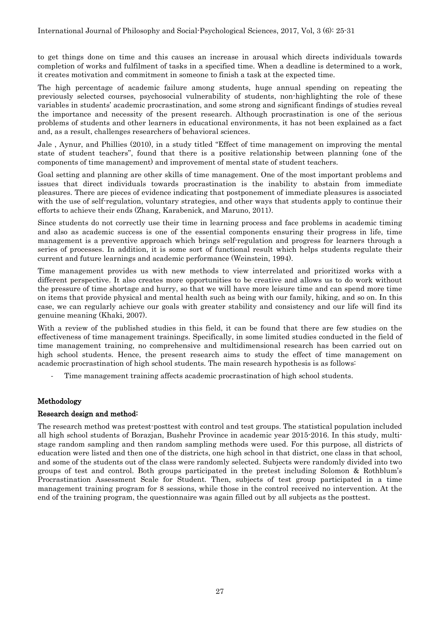to get things done on time and this causes an increase in arousal which directs individuals towards completion of works and fulfilment of tasks in a specified time. When a deadline is determined to a work, it creates motivation and commitment in someone to finish a task at the expected time.

The high percentage of academic failure among students, huge annual spending on repeating the previously selected courses, psychosocial vulnerability of students, non-highlighting the role of these variables in students' academic procrastination, and some strong and significant findings of studies reveal the importance and necessity of the present research. Although procrastination is one of the serious problems of students and other learners in educational environments, it has not been explained as a fact and, as a result, challenges researchers of behavioral sciences.

Jale , Aynur, and Phillies (2010), in a study titled "Effect of time management on improving the mental state of student teachers", found that there is a positive relationship between planning (one of the components of time management) and improvement of mental state of student teachers.

Goal setting and planning are other skills of time management. One of the most important problems and issues that direct individuals towards procrastination is the inability to abstain from immediate pleasures. There are pieces of evidence indicating that postponement of immediate pleasures is associated with the use of self-regulation, voluntary strategies, and other ways that students apply to continue their efforts to achieve their ends (Zhang, Karabenick, and Maruno, 2011).

Since students do not correctly use their time in learning process and face problems in academic timing and also as academic success is one of the essential components ensuring their progress in life, time management is a preventive approach which brings self-regulation and progress for learners through a series of processes. In addition, it is some sort of functional result which helps students regulate their current and future learnings and academic performance (Weinstein, 1994).

Time management provides us with new methods to view interrelated and prioritized works with a different perspective. It also creates more opportunities to be creative and allows us to do work without the pressure of time shortage and hurry, so that we will have more leisure time and can spend more time on items that provide physical and mental health such as being with our family, hiking, and so on. In this case, we can regularly achieve our goals with greater stability and consistency and our life will find its genuine meaning (Khaki, 2007).

With a review of the published studies in this field, it can be found that there are few studies on the effectiveness of time management trainings. Specifically, in some limited studies conducted in the field of time management training, no comprehensive and multidimensional research has been carried out on high school students. Hence, the present research aims to study the effect of time management on academic procrastination of high school students. The main research hypothesis is as follows:

Time management training affects academic procrastination of high school students.

## Methodology

#### Research design and method:

The research method was pretest-posttest with control and test groups. The statistical population included all high school students of Borazjan, Bushehr Province in academic year 2015-2016. In this study, multistage random sampling and then random sampling methods were used. For this purpose, all districts of education were listed and then one of the districts, one high school in that district, one class in that school, and some of the students out of the class were randomly selected. Subjects were randomly divided into two groups of test and control. Both groups participated in the pretest including Solomon & Rothblum's Procrastination Assessment Scale for Student. Then, subjects of test group participated in a time management training program for 8 sessions, while those in the control received no intervention. At the end of the training program, the questionnaire was again filled out by all subjects as the posttest.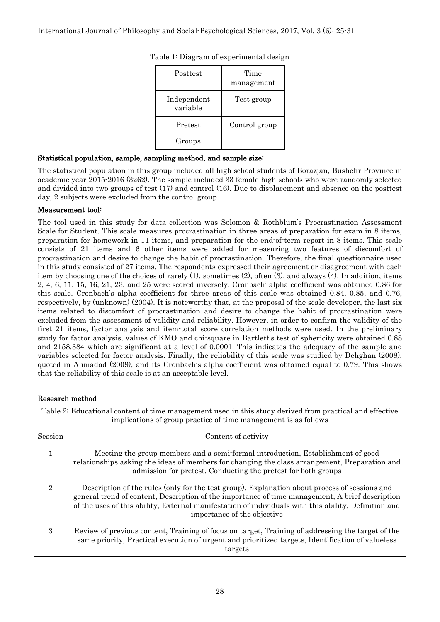| Posttest                | Time<br>management |
|-------------------------|--------------------|
| Independent<br>variable | Test group         |
| Pretest                 | Control group      |
| Groups                  |                    |

Table 1: Diagram of experimental design

### Statistical population, sample, sampling method, and sample size:

The statistical population in this group included all high school students of Borazjan, Bushehr Province in academic year 2015-2016 (3262). The sample included 33 female high schools who were randomly selected and divided into two groups of test (17) and control (16). Due to displacement and absence on the posttest day, 2 subjects were excluded from the control group.

### Measurement tool:

The tool used in this study for data collection was Solomon & Rothblum's Procrastination Assessment Scale for Student. This scale measures procrastination in three areas of preparation for exam in 8 items, preparation for homework in 11 items, and preparation for the end-of-term report in 8 items. This scale consists of 21 items and 6 other items were added for measuring two features of discomfort of procrastination and desire to change the habit of procrastination. Therefore, the final questionnaire used in this study consisted of 27 items. The respondents expressed their agreement or disagreement with each item by choosing one of the choices of rarely (1), sometimes (2), often (3), and always (4). In addition, items 2, 4, 6, 11, 15, 16, 21, 23, and 25 were scored inversely. Cronbach' alpha coefficient was obtained 0.86 for this scale. Cronbach's alpha coefficient for three areas of this scale was obtained 0.84, 0.85, and 0.76, respectively, by (unknown) (2004). It is noteworthy that, at the proposal of the scale developer, the last six items related to discomfort of procrastination and desire to change the habit of procrastination were excluded from the assessment of validity and reliability. However, in order to confirm the validity of the first 21 items, factor analysis and item-total score correlation methods were used. In the preliminary study for factor analysis, values of KMO and chi-square in Bartlett's test of sphericity were obtained 0.88 and 2158.384 which are significant at a level of 0.0001. This indicates the adequacy of the sample and variables selected for factor analysis. Finally, the reliability of this scale was studied by Dehghan (2008), quoted in Alimadad (2009), and its Cronbach's alpha coefficient was obtained equal to 0.79. This shows that the reliability of this scale is at an acceptable level.

#### Research method

Table 2: Educational content of time management used in this study derived from practical and effective implications of group practice of time management is as follows

| <b>Session</b> | Content of activity                                                                                                                                                                                                                                                                                                                     |  |
|----------------|-----------------------------------------------------------------------------------------------------------------------------------------------------------------------------------------------------------------------------------------------------------------------------------------------------------------------------------------|--|
|                | Meeting the group members and a semi-formal introduction, Establishment of good<br>relationships asking the ideas of members for changing the class arrangement, Preparation and<br>admission for pretest, Conducting the pretest for both groups                                                                                       |  |
| $\overline{2}$ | Description of the rules (only for the test group), Explanation about process of sessions and<br>general trend of content, Description of the importance of time management, A brief description<br>of the uses of this ability, External manifestation of individuals with this ability, Definition and<br>importance of the objective |  |
| 3              | Review of previous content, Training of focus on target, Training of addressing the target of the<br>same priority, Practical execution of urgent and prioritized targets, Identification of valueless<br>targets                                                                                                                       |  |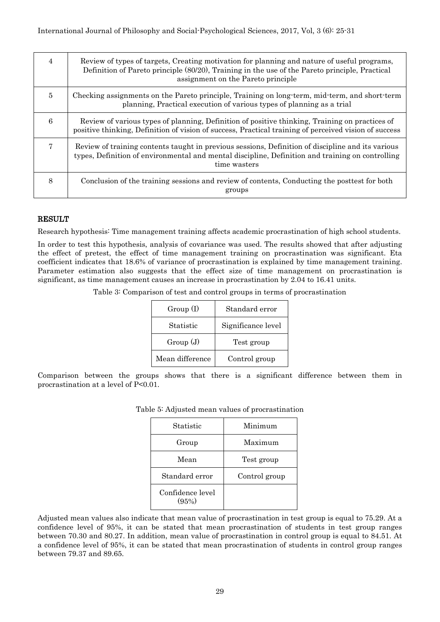| 4 | Review of types of targets, Creating motivation for planning and nature of useful programs,<br>Definition of Pareto principle (80/20), Training in the use of the Pareto principle, Practical<br>assignment on the Pareto principle |
|---|-------------------------------------------------------------------------------------------------------------------------------------------------------------------------------------------------------------------------------------|
| 5 | Checking assignments on the Pareto principle, Training on long-term, mid-term, and short-term<br>planning, Practical execution of various types of planning as a trial                                                              |
| 6 | Review of various types of planning, Definition of positive thinking, Training on practices of<br>positive thinking, Definition of vision of success, Practical training of perceived vision of success                             |
| 7 | Review of training contents taught in previous sessions, Definition of discipline and its various<br>types, Definition of environmental and mental discipline, Definition and training on controlling<br>time wasters               |
| 8 | Conclusion of the training sessions and review of contents, Conducting the posttest for both<br>groups                                                                                                                              |

### RESULT

Research hypothesis: Time management training affects academic procrastination of high school students.

In order to test this hypothesis, analysis of covariance was used. The results showed that after adjusting the effect of pretest, the effect of time management training on procrastination was significant. Eta coefficient indicates that 18.6% of variance of procrastination is explained by time management training. Parameter estimation also suggests that the effect size of time management on procrastination is significant, as time management causes an increase in procrastination by 2.04 to 16.41 units.

Table 3: Comparison of test and control groups in terms of procrastination

| Group(I)        | Standard error     |
|-----------------|--------------------|
| Statistic       | Significance level |
| Group(J)        | Test group         |
| Mean difference | Control group      |

Comparison between the groups shows that there is a significant difference between them in procrastination at a level of P<0.01.

| Statistic                 | Minimum       |
|---------------------------|---------------|
| Group                     | Maximum       |
| Mean                      | Test group    |
| Standard error            | Control group |
| Confidence level<br>(95%) |               |

Table 5: Adjusted mean values of procrastination

Adjusted mean values also indicate that mean value of procrastination in test group is equal to 75.29. At a confidence level of 95%, it can be stated that mean procrastination of students in test group ranges between 70.30 and 80.27. In addition, mean value of procrastination in control group is equal to 84.51. At a confidence level of 95%, it can be stated that mean procrastination of students in control group ranges between 79.37 and 89.65.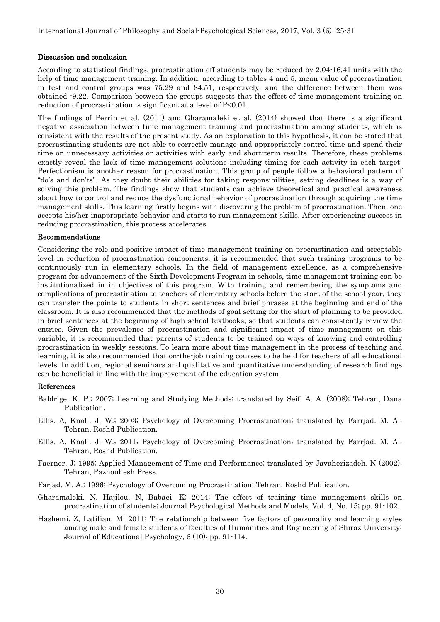#### Discussion and conclusion

According to statistical findings, procrastination off students may be reduced by 2.04-16.41 units with the help of time management training. In addition, according to tables 4 and 5, mean value of procrastination in test and control groups was 75.29 and 84.51, respectively, and the difference between them was obtained -9.22. Comparison between the groups suggests that the effect of time management training on reduction of procrastination is significant at a level of P<0.01.

The findings of Perrin et al. (2011) and Gharamaleki et al. (2014) showed that there is a significant negative association between time management training and procrastination among students, which is consistent with the results of the present study. As an explanation to this hypothesis, it can be stated that procrastinating students are not able to correctly manage and appropriately control time and spend their time on unnecessary activities or activities with early and short-term results. Therefore, these problems exactly reveal the lack of time management solutions including timing for each activity in each target. Perfectionism is another reason for procrastination. This group of people follow a behavioral pattern of "do's and don'ts". As they doubt their abilities for taking responsibilities, setting deadlines is a way of solving this problem. The findings show that students can achieve theoretical and practical awareness about how to control and reduce the dysfunctional behavior of procrastination through acquiring the time management skills. This learning firstly begins with discovering the problem of procrastination. Then, one accepts his/her inappropriate behavior and starts to run management skills. After experiencing success in reducing procrastination, this process accelerates.

#### Recommendations

Considering the role and positive impact of time management training on procrastination and acceptable level in reduction of procrastination components, it is recommended that such training programs to be continuously run in elementary schools. In the field of management excellence, as a comprehensive program for advancement of the Sixth Development Program in schools, time management training can be institutionalized in in objectives of this program. With training and remembering the symptoms and complications of procrastination to teachers of elementary schools before the start of the school year, they can transfer the points to students in short sentences and brief phrases at the beginning and end of the classroom. It is also recommended that the methods of goal setting for the start of planning to be provided in brief sentences at the beginning of high school textbooks, so that students can consistently review the entries. Given the prevalence of procrastination and significant impact of time management on this variable, it is recommended that parents of students to be trained on ways of knowing and controlling procrastination in weekly sessions. To learn more about time management in the process of teaching and learning, it is also recommended that on-the-job training courses to be held for teachers of all educational levels. In addition, regional seminars and qualitative and quantitative understanding of research findings can be beneficial in line with the improvement of the education system.

#### References

- Baldrige. K. P.; 2007; Learning and Studying Methods; translated by Seif. A. A. (2008); Tehran, Dana Publication.
- Ellis. A, Knall. J. W.; 2003; Psychology of Overcoming Procrastination; translated by Farrjad. M. A.; Tehran, Roshd Publication.
- Ellis. A, Knall. J. W.; 2011; Psychology of Overcoming Procrastination; translated by Farriad. M. A.; Tehran, Roshd Publication.
- Faerner. J; 1995; Applied Management of Time and Performance; translated by Javaherizadeh. N (2002); Tehran, Pazhouhesh Press.
- Farjad. M. A.; 1996; Psychology of Overcoming Procrastination; Tehran, Roshd Publication.
- Gharamaleki. N, Hajilou. N, Babaei. K; 2014; The effect of training time management skills on procrastination of students; Journal Psychological Methods and Models, Vol. 4, No. 15; pp. 91-102.
- Hashemi. Z, Latifian. M; 2011; The relationship between five factors of personality and learning styles among male and female students of faculties of Humanities and Engineering of Shiraz University; Journal of Educational Psychology, 6 (10); pp. 91-114.